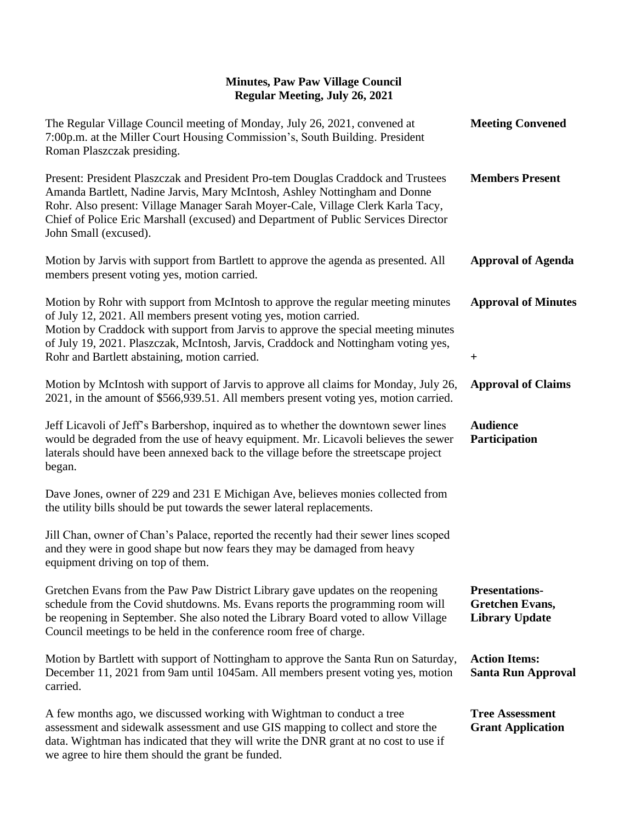| The Regular Village Council meeting of Monday, July 26, 2021, convened at<br>7:00p.m. at the Miller Court Housing Commission's, South Building. President<br>Roman Plaszczak presiding.                                                                                                                                                                          | <b>Meeting Convened</b>                                                  |
|------------------------------------------------------------------------------------------------------------------------------------------------------------------------------------------------------------------------------------------------------------------------------------------------------------------------------------------------------------------|--------------------------------------------------------------------------|
| Present: President Plaszczak and President Pro-tem Douglas Craddock and Trustees<br>Amanda Bartlett, Nadine Jarvis, Mary McIntosh, Ashley Nottingham and Donne<br>Rohr. Also present: Village Manager Sarah Moyer-Cale, Village Clerk Karla Tacy,<br>Chief of Police Eric Marshall (excused) and Department of Public Services Director<br>John Small (excused). | <b>Members Present</b>                                                   |
| Motion by Jarvis with support from Bartlett to approve the agenda as presented. All<br>members present voting yes, motion carried.                                                                                                                                                                                                                               | <b>Approval of Agenda</b>                                                |
| Motion by Rohr with support from McIntosh to approve the regular meeting minutes<br>of July 12, 2021. All members present voting yes, motion carried.<br>Motion by Craddock with support from Jarvis to approve the special meeting minutes<br>of July 19, 2021. Plaszczak, McIntosh, Jarvis, Craddock and Nottingham voting yes,                                | <b>Approval of Minutes</b>                                               |
| Rohr and Bartlett abstaining, motion carried.                                                                                                                                                                                                                                                                                                                    | $\pm$                                                                    |
| Motion by McIntosh with support of Jarvis to approve all claims for Monday, July 26,<br>2021, in the amount of \$566,939.51. All members present voting yes, motion carried.                                                                                                                                                                                     | <b>Approval of Claims</b>                                                |
| Jeff Licavoli of Jeff's Barbershop, inquired as to whether the downtown sewer lines<br>would be degraded from the use of heavy equipment. Mr. Licavoli believes the sewer<br>laterals should have been annexed back to the village before the streetscape project<br>began.                                                                                      | <b>Audience</b><br>Participation                                         |
| Dave Jones, owner of 229 and 231 E Michigan Ave, believes monies collected from<br>the utility bills should be put towards the sewer lateral replacements.                                                                                                                                                                                                       |                                                                          |
| Jill Chan, owner of Chan's Palace, reported the recently had their sewer lines scoped<br>and they were in good shape but now fears they may be damaged from heavy<br>equipment driving on top of them.                                                                                                                                                           |                                                                          |
| Gretchen Evans from the Paw Paw District Library gave updates on the reopening<br>schedule from the Covid shutdowns. Ms. Evans reports the programming room will<br>be reopening in September. She also noted the Library Board voted to allow Village<br>Council meetings to be held in the conference room free of charge.                                     | <b>Presentations-</b><br><b>Gretchen Evans,</b><br><b>Library Update</b> |
| Motion by Bartlett with support of Nottingham to approve the Santa Run on Saturday,<br>December 11, 2021 from 9am until 1045am. All members present voting yes, motion<br>carried.                                                                                                                                                                               | <b>Action Items:</b><br><b>Santa Run Approval</b>                        |
| A few months ago, we discussed working with Wightman to conduct a tree<br>assessment and sidewalk assessment and use GIS mapping to collect and store the<br>data. Wightman has indicated that they will write the DNR grant at no cost to use if<br>we agree to hire them should the grant be funded.                                                           | <b>Tree Assessment</b><br><b>Grant Application</b>                       |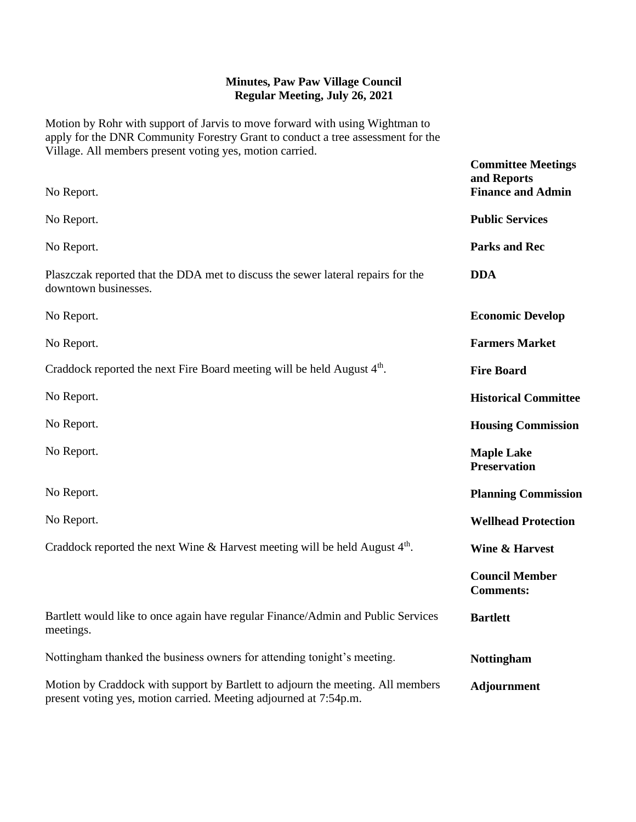Motion by Rohr with support of Jarvis to move forward with using Wightman to apply for the DNR Community Forestry Grant to conduct a tree assessment for the Village. All members present voting yes, motion carried.

| No Report.                                                                                                                                           | <b>Committee Meetings</b><br>and Reports<br><b>Finance and Admin</b> |
|------------------------------------------------------------------------------------------------------------------------------------------------------|----------------------------------------------------------------------|
| No Report.                                                                                                                                           | <b>Public Services</b>                                               |
| No Report.                                                                                                                                           | <b>Parks and Rec</b>                                                 |
| Plaszczak reported that the DDA met to discuss the sewer lateral repairs for the<br>downtown businesses.                                             | <b>DDA</b>                                                           |
| No Report.                                                                                                                                           | <b>Economic Develop</b>                                              |
| No Report.                                                                                                                                           | <b>Farmers Market</b>                                                |
| Craddock reported the next Fire Board meeting will be held August 4 <sup>th</sup> .                                                                  | <b>Fire Board</b>                                                    |
| No Report.                                                                                                                                           | <b>Historical Committee</b>                                          |
| No Report.                                                                                                                                           | <b>Housing Commission</b>                                            |
| No Report.                                                                                                                                           | <b>Maple Lake</b><br><b>Preservation</b>                             |
| No Report.                                                                                                                                           | <b>Planning Commission</b>                                           |
| No Report.                                                                                                                                           | <b>Wellhead Protection</b>                                           |
| Craddock reported the next Wine & Harvest meeting will be held August $4th$ .                                                                        | <b>Wine &amp; Harvest</b>                                            |
|                                                                                                                                                      | <b>Council Member</b><br><b>Comments:</b>                            |
| Bartlett would like to once again have regular Finance/Admin and Public Services<br>meetings.                                                        | <b>Bartlett</b>                                                      |
| Nottingham thanked the business owners for attending tonight's meeting.                                                                              | <b>Nottingham</b>                                                    |
| Motion by Craddock with support by Bartlett to adjourn the meeting. All members<br>present voting yes, motion carried. Meeting adjourned at 7:54p.m. | <b>Adjournment</b>                                                   |